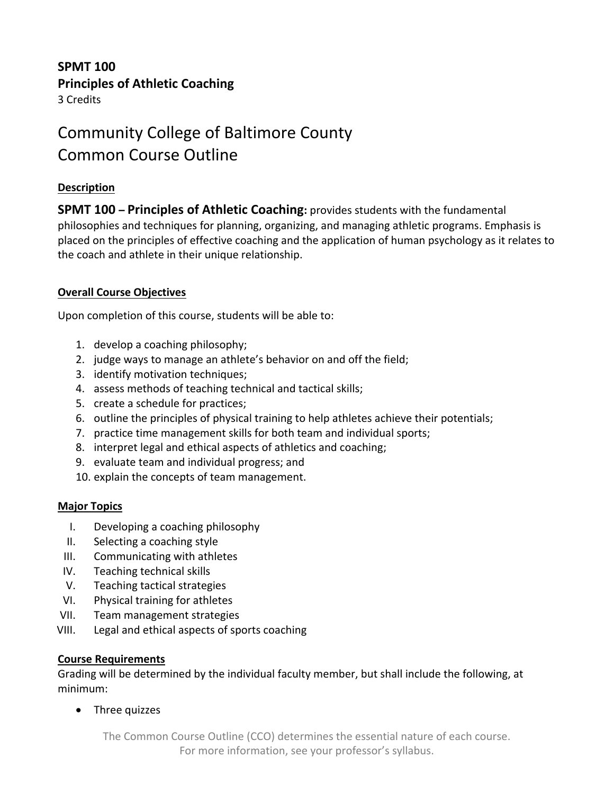# **SPMT 100 Principles of Athletic Coaching**

3 Credits

# Community College of Baltimore County Common Course Outline

### **Description**

**SPMT 100 – Principles of Athletic Coaching:** provides students with the fundamental philosophies and techniques for planning, organizing, and managing athletic programs. Emphasis is placed on the principles of effective coaching and the application of human psychology as it relates to the coach and athlete in their unique relationship.

# **Overall Course Objectives**

Upon completion of this course, students will be able to:

- 1. develop a coaching philosophy;
- 2. judge ways to manage an athlete's behavior on and off the field;
- 3. identify motivation techniques;
- 4. assess methods of teaching technical and tactical skills;
- 5. create a schedule for practices;
- 6. outline the principles of physical training to help athletes achieve their potentials;
- 7. practice time management skills for both team and individual sports;
- 8. interpret legal and ethical aspects of athletics and coaching;
- 9. evaluate team and individual progress; and
- 10. explain the concepts of team management.

### **Major Topics**

- I. Developing a coaching philosophy
- II. Selecting a coaching style
- III. Communicating with athletes
- IV. Teaching technical skills
- V. Teaching tactical strategies
- VI. Physical training for athletes
- VII. Team management strategies
- VIII. Legal and ethical aspects of sports coaching

#### **Course Requirements**

Grading will be determined by the individual faculty member, but shall include the following, at minimum:

• Three quizzes

The Common Course Outline (CCO) determines the essential nature of each course. For more information, see your professor's syllabus.